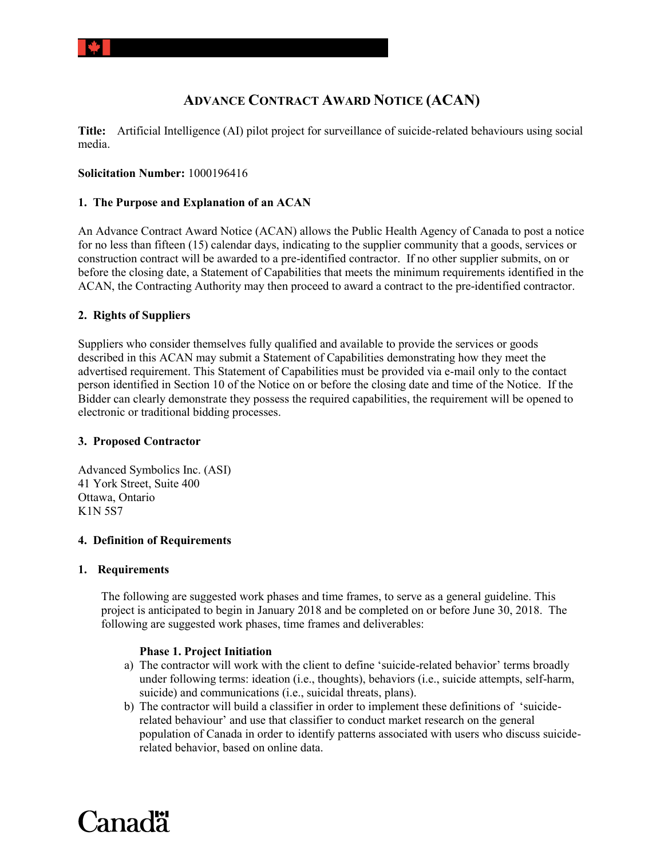# **ADVANCE CONTRACT AWARD NOTICE (ACAN)**

**Title:** Artificial Intelligence (AI) pilot project for surveillance of suicide-related behaviours using social media.

# **Solicitation Number:** 1000196416

# **1. The Purpose and Explanation of an ACAN**

An Advance Contract Award Notice (ACAN) allows the Public Health Agency of Canada to post a notice for no less than fifteen (15) calendar days, indicating to the supplier community that a goods, services or construction contract will be awarded to a pre-identified contractor. If no other supplier submits, on or before the closing date, a Statement of Capabilities that meets the minimum requirements identified in the ACAN, the Contracting Authority may then proceed to award a contract to the pre-identified contractor.

# **2. Rights of Suppliers**

Suppliers who consider themselves fully qualified and available to provide the services or goods described in this ACAN may submit a Statement of Capabilities demonstrating how they meet the advertised requirement. This Statement of Capabilities must be provided via e-mail only to the contact person identified in Section 10 of the Notice on or before the closing date and time of the Notice. If the Bidder can clearly demonstrate they possess the required capabilities, the requirement will be opened to electronic or traditional bidding processes.

## **3. Proposed Contractor**

Advanced Symbolics Inc. (ASI) 41 York Street, Suite 400 Ottawa, Ontario K1N 5S7

## **4. Definition of Requirements**

## **1. Requirements**

The following are suggested work phases and time frames, to serve as a general guideline. This project is anticipated to begin in January 2018 and be completed on or before June 30, 2018. The following are suggested work phases, time frames and deliverables:

## **Phase 1. Project Initiation**

- a) The contractor will work with the client to define 'suicide-related behavior' terms broadly under following terms: ideation (i.e., thoughts), behaviors (i.e., suicide attempts, self-harm, suicide) and communications (i.e., suicidal threats, plans).
- b) The contractor will build a classifier in order to implement these definitions of 'suiciderelated behaviour' and use that classifier to conduct market research on the general population of Canada in order to identify patterns associated with users who discuss suiciderelated behavior, based on online data.

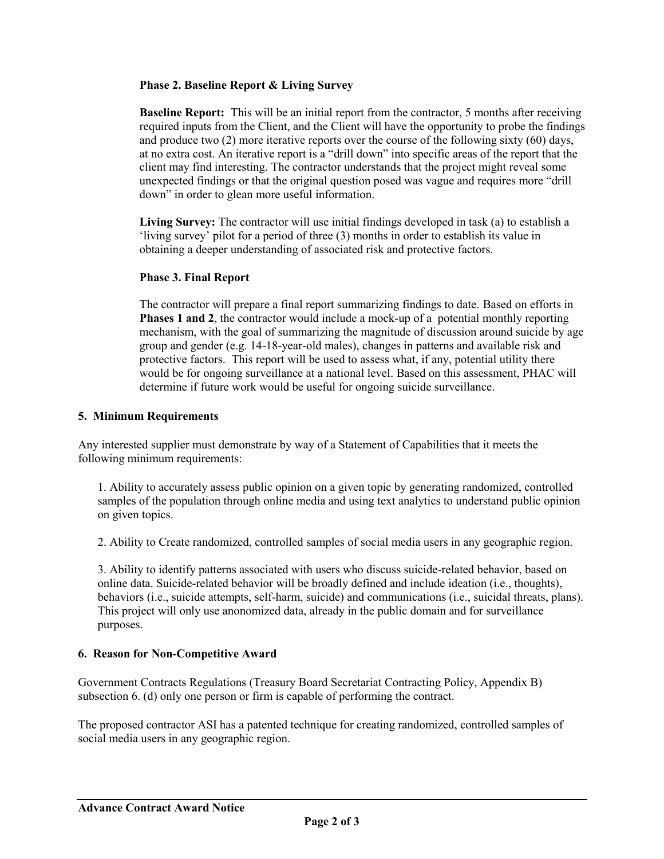# **Phase 2. Baseline Report & Living Survey**

**Baseline Report:** This will be an initial report from the contractor, 5 months after receiving required inputs from the Client, and the Client will have the opportunity to probe the findings and produce two (2) more iterative reports over the course of the following sixty (60) days, at no extra cost. An iterative report is a "drill down" into specific areas of the report that the client may find interesting. The contractor understands that the project might reveal some unexpected findings or that the original question posed was vague and requires more "drill down" in order to glean more useful information.

Living Survey: The contractor will use initial findings developed in task (a) to establish a 'living survey' pilot for a period of three (3) months in order to establish its value in obtaining a deeper understanding of associated risk and protective factors.

# **Phase 3. Final Report**

The contractor will prepare a final report summarizing findings to date. Based on efforts in **Phases 1 and 2**, the contractor would include a mock-up of a potential monthly reporting mechanism, with the goal of summarizing the magnitude of discussion around suicide by age group and gender (e.g. 14-18-year-old males), changes in patterns and available risk and protective factors. This report will be used to assess what, if any, potential utility there would be for ongoing surveillance at a national level. Based on this assessment, PHAC will determine if future work would be useful for ongoing suicide surveillance.

# **5. Minimum Requirements**

Any interested supplier must demonstrate by way of a Statement of Capabilities that it meets the following minimum requirements:

1. Ability to accurately assess public opinion on a given topic by generating randomized, controlled samples of the population through online media and using text analytics to understand public opinion on given topics.

2. Ability to Create randomized, controlled samples of social media users in any geographic region.

3. Ability to identify patterns associated with users who discuss suicide-related behavior, based on online data. Suicide-related behavior will be broadly defined and include ideation (i.e., thoughts), behaviors (i.e., suicide attempts, self-harm, suicide) and communications (i.e., suicidal threats, plans). This project will only use anonomized data, already in the public domain and for surveillance purposes.

# **6. Reason for Non-Competitive Award**

Government Contracts Regulations (Treasury Board Secretariat Contracting Policy, Appendix B) subsection 6. (d) only one person or firm is capable of performing the contract.

The proposed contractor ASI has a patented technique for creating randomized, controlled samples of social media users in any geographic region.